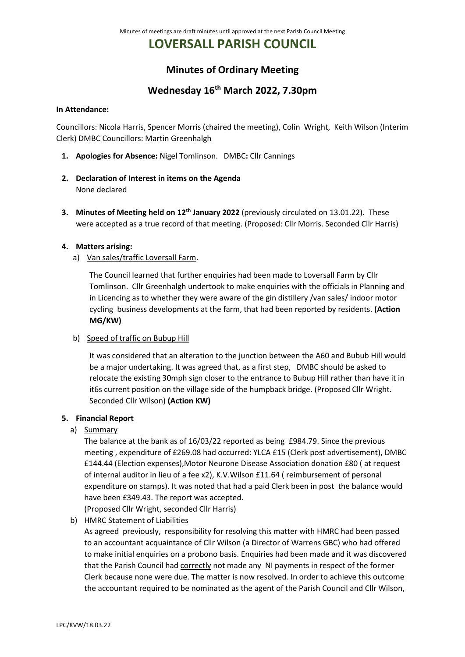# **LOVERSALL PARISH COUNCIL**

# **Minutes of Ordinary Meeting**

# **Wednesday 16th March 2022, 7.30pm**

#### **In Attendance:**

Councillors: Nicola Harris, Spencer Morris (chaired the meeting), Colin Wright, Keith Wilson (Interim Clerk) DMBC Councillors: Martin Greenhalgh

- **1. Apologies for Absence:** Nigel Tomlinson. DMBC**:** Cllr Cannings
- **2. Declaration of Interest in items on the Agenda** None declared
- **3. Minutes of Meeting held on 12th January 2022** (previously circulated on 13.01.22). These were accepted as a true record of that meeting. (Proposed: Cllr Morris. Seconded Cllr Harris)

# **4. Matters arising:**

a) Van sales/traffic Loversall Farm.

The Council learned that further enquiries had been made to Loversall Farm by Cllr Tomlinson. Cllr Greenhalgh undertook to make enquiries with the officials in Planning and in Licencing as to whether they were aware of the gin distillery /van sales/ indoor motor cycling business developments at the farm, that had been reported by residents. **(Action MG/KW)** 

b) Speed of traffic on Bubup Hill

It was considered that an alteration to the junction between the A60 and Bubub Hill would be a major undertaking. It was agreed that, as a first step, DMBC should be asked to relocate the existing 30mph sign closer to the entrance to Bubup Hill rather than have it in it6s current position on the village side of the humpback bridge. (Proposed Cllr Wright. Seconded Cllr Wilson) **(Action KW)**

## **5. Financial Report**

a) Summary

The balance at the bank as of 16/03/22 reported as being £984.79. Since the previous meeting , expenditure of £269.08 had occurred: YLCA £15 (Clerk post advertisement), DMBC £144.44 (Election expenses),Motor Neurone Disease Association donation £80 ( at request of internal auditor in lieu of a fee x2), K.V.Wilson £11.64 ( reimbursement of personal expenditure on stamps). It was noted that had a paid Clerk been in post the balance would have been £349.43. The report was accepted.

(Proposed Cllr Wright, seconded Cllr Harris)

b) HMRC Statement of Liabilities

As agreed previously, responsibility for resolving this matter with HMRC had been passed to an accountant acquaintance of Cllr Wilson (a Director of Warrens GBC) who had offered to make initial enquiries on a probono basis. Enquiries had been made and it was discovered that the Parish Council had correctly not made any NI payments in respect of the former Clerk because none were due. The matter is now resolved. In order to achieve this outcome the accountant required to be nominated as the agent of the Parish Council and Cllr Wilson,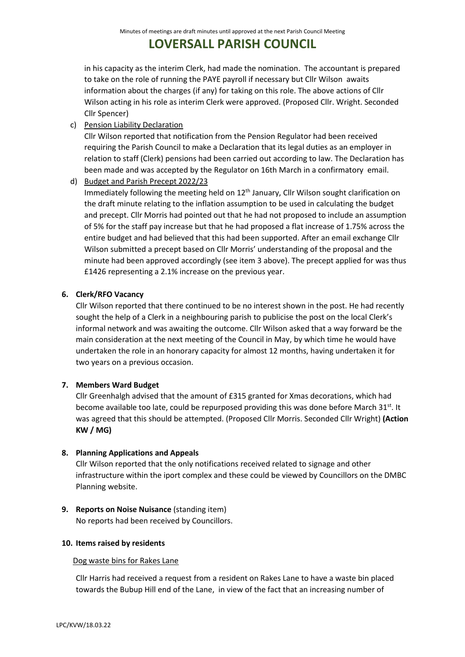# **LOVERSALL PARISH COUNCIL**

in his capacity as the interim Clerk, had made the nomination. The accountant is prepared to take on the role of running the PAYE payroll if necessary but Cllr Wilson awaits information about the charges (if any) for taking on this role. The above actions of Cllr Wilson acting in his role as interim Clerk were approved. (Proposed Cllr. Wright. Seconded Cllr Spencer)

c) Pension Liability Declaration

Cllr Wilson reported that notification from the Pension Regulator had been received requiring the Parish Council to make a Declaration that its legal duties as an employer in relation to staff (Clerk) pensions had been carried out according to law. The Declaration has been made and was accepted by the Regulator on 16th March in a confirmatory email.

d) Budget and Parish Precept 2022/23

Immediately following the meeting held on 12<sup>th</sup> January, Cllr Wilson sought clarification on the draft minute relating to the inflation assumption to be used in calculating the budget and precept. Cllr Morris had pointed out that he had not proposed to include an assumption of 5% for the staff pay increase but that he had proposed a flat increase of 1.75% across the entire budget and had believed that this had been supported. After an email exchange Cllr Wilson submitted a precept based on Cllr Morris' understanding of the proposal and the minute had been approved accordingly (see item 3 above). The precept applied for was thus £1426 representing a 2.1% increase on the previous year.

# **6. Clerk/RFO Vacancy**

Cllr Wilson reported that there continued to be no interest shown in the post. He had recently sought the help of a Clerk in a neighbouring parish to publicise the post on the local Clerk's informal network and was awaiting the outcome. Cllr Wilson asked that a way forward be the main consideration at the next meeting of the Council in May, by which time he would have undertaken the role in an honorary capacity for almost 12 months, having undertaken it for two years on a previous occasion.

# **7. Members Ward Budget**

Cllr Greenhalgh advised that the amount of £315 granted for Xmas decorations, which had become available too late, could be repurposed providing this was done before March  $31^{st}$ . It was agreed that this should be attempted. (Proposed Cllr Morris. Seconded Cllr Wright) **(Action KW / MG)**

## **8. Planning Applications and Appeals**

Cllr Wilson reported that the only notifications received related to signage and other infrastructure within the iport complex and these could be viewed by Councillors on the DMBC Planning website.

**9. Reports on Noise Nuisance** (standing item) No reports had been received by Councillors.

## **10. Items raised by residents**

## Dog waste bins for Rakes Lane

Cllr Harris had received a request from a resident on Rakes Lane to have a waste bin placed towards the Bubup Hill end of the Lane, in view of the fact that an increasing number of